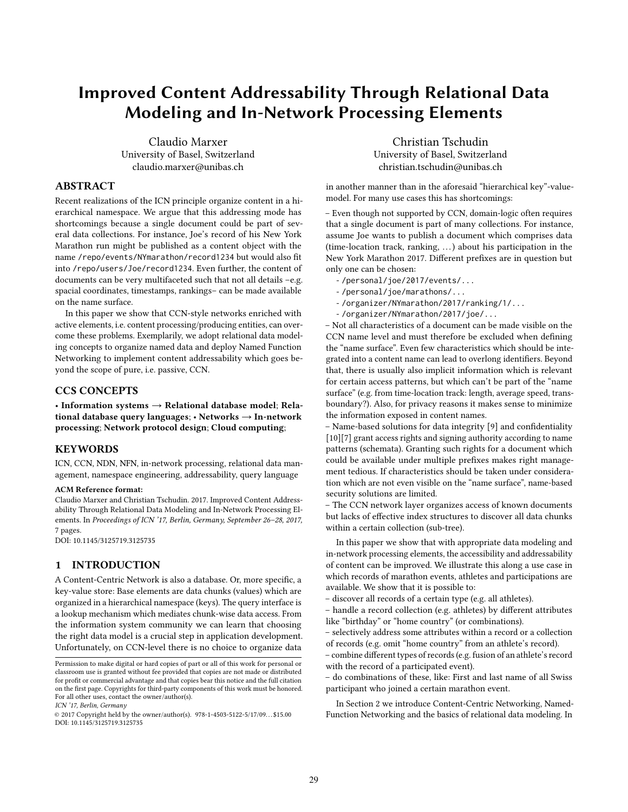# Improved Content Addressability Through Relational Data Modeling and In-Network Processing Elements

Claudio Marxer University of Basel, Switzerland claudio.marxer@unibas.ch

## ABSTRACT

Recent realizations of the ICN principle organize content in a hierarchical namespace. We argue that this addressing mode has shortcomings because a single document could be part of several data collections. For instance, Joe's record of his New York Marathon run might be published as a content object with the name /repo/events/NYmarathon/record1234 but would also fit into /repo/users/Joe/record1234. Even further, the content of documents can be very multifaceted such that not all details –e.g. spacial coordinates, timestamps, rankings– can be made available on the name surface.

In this paper we show that CCN-style networks enriched with active elements, i.e. content processing/producing entities, can overcome these problems. Exemplarily, we adopt relational data modeling concepts to organize named data and deploy Named Function Networking to implement content addressability which goes beyond the scope of pure, i.e. passive, CCN.

## CCS CONCEPTS

• Information systems  $\rightarrow$  Relational database model; Relational database query languages; • Networks  $\rightarrow$  In-network processing; Network protocol design; Cloud computing;

#### KEYWORDS

ICN, CCN, NDN, NFN, in-network processing, relational data management, namespace engineering, addressability, query language

#### ACM Reference format:

Claudio Marxer and Christian Tschudin. 2017. Improved Content Addressability Through Relational Data Modeling and In-Network Processing Elements. In Proceedings of ICN '17, Berlin, Germany, September 26–28, 2017, [7](#page-6-0) pages.

DOI: 10.1145/3125719.3125735

#### 1 INTRODUCTION

A Content-Centric Network is also a database. Or, more specific, a key-value store: Base elements are data chunks (values) which are organized in a hierarchical namespace (keys). The query interface is a lookup mechanism which mediates chunk-wise data access. From the information system community we can learn that choosing the right data model is a crucial step in application development. Unfortunately, on CCN-level there is no choice to organize data

ICN '17, Berlin, Germany

Christian Tschudin University of Basel, Switzerland christian.tschudin@unibas.ch

in another manner than in the aforesaid "hierarchical key"-valuemodel. For many use cases this has shortcomings:

– Even though not supported by CCN, domain-logic often requires that a single document is part of many collections. For instance, assume Joe wants to publish a document which comprises data (time-location track, ranking, . . .) about his participation in the New York Marathon 2017. Different prefixes are in question but only one can be chosen:

- /personal/joe/2017/events/...
- /personal/joe/marathons/...
- /organizer/NYmarathon/2017/ranking/1/...
- /organizer/NYmarathon/2017/joe/...

– Not all characteristics of a document can be made visible on the CCN name level and must therefore be excluded when defining the "name surface". Even few characteristics which should be integrated into a content name can lead to overlong identifiers. Beyond that, there is usually also implicit information which is relevant for certain access patterns, but which can't be part of the "name surface" (e.g. from time-location track: length, average speed, transboundary?). Also, for privacy reasons it makes sense to minimize the information exposed in content names.

– Name-based solutions for data integrity [\[9\]](#page-6-1) and confidentiality [\[10\]](#page-6-2)[\[7\]](#page-6-3) grant access rights and signing authority according to name patterns (schemata). Granting such rights for a document which could be available under multiple prefixes makes right management tedious. If characteristics should be taken under consideration which are not even visible on the "name surface", name-based security solutions are limited.

– The CCN network layer organizes access of known documents but lacks of effective index structures to discover all data chunks within a certain collection (sub-tree).

In this paper we show that with appropriate data modeling and in-network processing elements, the accessibility and addressability of content can be improved. We illustrate this along a use case in which records of marathon events, athletes and participations are available. We show that it is possible to:

– discover all records of a certain type (e.g. all athletes).

– handle a record collection (e.g. athletes) by different attributes like "birthday" or "home country" (or combinations).

– selectively address some attributes within a record or a collection of records (e.g. omit "home country" from an athlete's record).

– combine different types of records (e.g. fusion of an athlete's record with the record of a participated event).

– do combinations of these, like: First and last name of all Swiss participant who joined a certain marathon event.

In Section 2 we introduce Content-Centric Networking, Named-Function Networking and the basics of relational data modeling. In

Permission to make digital or hard copies of part or all of this work for personal or classroom use is granted without fee provided that copies are not made or distributed for profit or commercial advantage and that copies bear this notice and the full citation on the first page. Copyrights for third-party components of this work must be honored. For all other uses, contact the owner/author(s).

<sup>©</sup> 2017 Copyright held by the owner/author(s). 978-1-4503-5122-5/17/09. . . \$15.00 DOI: 10.1145/3125719.3125735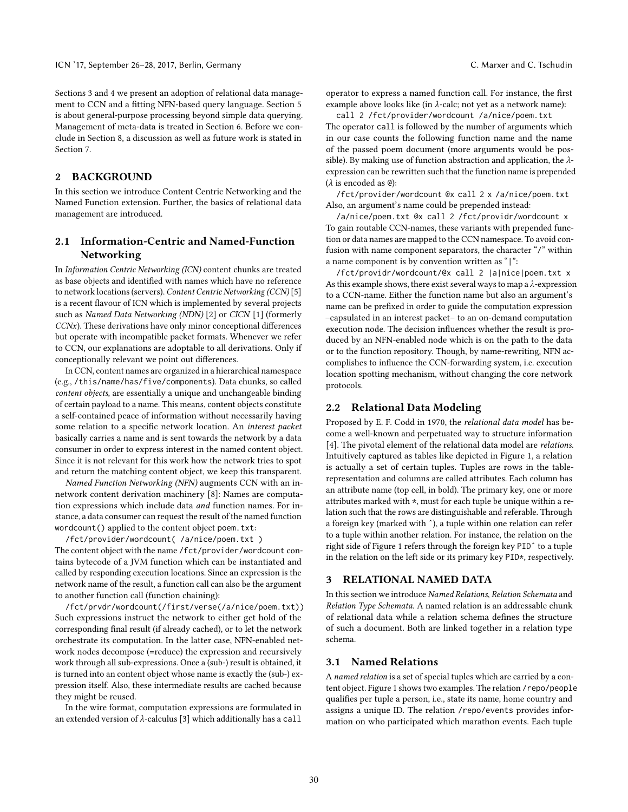Sections 3 and 4 we present an adoption of relational data management to CCN and a fitting NFN-based query language. Section 5 is about general-purpose processing beyond simple data querying. Management of meta-data is treated in Section 6. Before we conclude in Section 8, a discussion as well as future work is stated in Section 7.

## 2 BACKGROUND

In this section we introduce Content Centric Networking and the Named Function extension. Further, the basics of relational data management are introduced.

## 2.1 Information-Centric and Named-Function Networking

In Information Centric Networking (ICN) content chunks are treated as base objects and identified with names which have no reference to network locations (servers). Content Centric Networking (CCN) [\[5\]](#page-6-4) is a recent flavour of ICN which is implemented by several projects such as Named Data Networking (NDN) [\[2\]](#page-6-5) or CICN [\[1\]](#page-6-6) (formerly  $CCNx$ ). These derivations have only minor conceptional differences but operate with incompatible packet formats. Whenever we refer to CCN, our explanations are adoptable to all derivations. Only if conceptionally relevant we point out differences.

In CCN, content names are organized in a hierarchical namespace (e.g., /this/name/has/five/components). Data chunks, so called content objects, are essentially a unique and unchangeable binding of certain payload to a name. This means, content objects constitute a self-contained peace of information without necessarily having some relation to a specific network location. An interest packet basically carries a name and is sent towards the network by a data consumer in order to express interest in the named content object. Since it is not relevant for this work how the network tries to spot and return the matching content object, we keep this transparent.

Named Function Networking (NFN) augments CCN with an innetwork content derivation machinery [\[8\]](#page-6-7): Names are computation expressions which include data and function names. For instance, a data consumer can request the result of the named function wordcount() applied to the content object poem.txt:

/fct/provider/wordcount( /a/nice/poem.txt ) The content object with the name /fct/provider/wordcount contains bytecode of a JVM function which can be instantiated and called by responding execution locations. Since an expression is the network name of the result, a function call can also be the argument to another function call (function chaining):

/fct/prvdr/wordcount(/first/verse(/a/nice/poem.txt)) Such expressions instruct the network to either get hold of the corresponding final result (if already cached), or to let the network orchestrate its computation. In the latter case, NFN-enabled network nodes decompose (=reduce) the expression and recursively work through all sub-expressions. Once a (sub-) result is obtained, it is turned into an content object whose name is exactly the (sub-) expression itself. Also, these intermediate results are cached because they might be reused.

In the wire format, computation expressions are formulated in an extended version of  $\lambda$ -calculus [\[3\]](#page-6-8) which additionally has a call operator to express a named function call. For instance, the first example above looks like (in  $\lambda$ -calc; not yet as a network name):

call 2 /fct/provider/wordcount /a/nice/poem.txt The operator call is followed by the number of arguments which in our case counts the following function name and the name of the passed poem document (more arguments would be possible). By making use of function abstraction and application, the  $\lambda$ expression can be rewritten such that the function name is prepended (λ is encoded as @):

/fct/provider/wordcount @x call 2 x /a/nice/poem.txt Also, an argument's name could be prepended instead:

/a/nice/poem.txt @x call 2 /fct/providr/wordcount x To gain routable CCN-names, these variants with prepended function or data names are mapped to the CCN namespace. To avoid confusion with name component separators, the character "/" within a name component is by convention written as "|":

/fct/providr/wordcount/@x call 2 |a|nice|poem.txt x As this example shows, there exist several ways to map a  $\lambda$ -expression to a CCN-name. Either the function name but also an argument's name can be prefixed in order to guide the computation expression –capsulated in an interest packet– to an on-demand computation execution node. The decision influences whether the result is produced by an NFN-enabled node which is on the path to the data or to the function repository. Though, by name-rewriting, NFN accomplishes to influence the CCN-forwarding system, i.e. execution location spotting mechanism, without changing the core network protocols.

#### 2.2 Relational Data Modeling

Proposed by E. F. Codd in 1970, the relational data model has become a well-known and perpetuated way to structure information [\[4\]](#page-6-9). The pivotal element of the relational data model are *relations*. Intuitively captured as tables like depicted in Figure [1,](#page-2-0) a relation is actually a set of certain tuples. Tuples are rows in the tablerepresentation and columns are called attributes. Each column has an attribute name (top cell, in bold). The primary key, one or more attributes marked with \*, must for each tuple be unique within a relation such that the rows are distinguishable and referable. Through a foreign key (marked with ˆ), a tuple within one relation can refer to a tuple within another relation. For instance, the relation on the right side of Figure [1](#page-2-0) refers through the foreign key PIDˆ to a tuple in the relation on the left side or its primary key PID\*, respectively.

## 3 RELATIONAL NAMED DATA

In this section we introduce Named Relations, Relation Schemata and Relation Type Schemata. A named relation is an addressable chunk of relational data while a relation schema defines the structure of such a document. Both are linked together in a relation type schema.

### 3.1 Named Relations

A named relation is a set of special tuples which are carried by a content object. Figure [1](#page-2-0) shows two examples. The relation /repo/people qualifies per tuple a person, i.e., state its name, home country and assigns a unique ID. The relation /repo/events provides information on who participated which marathon events. Each tuple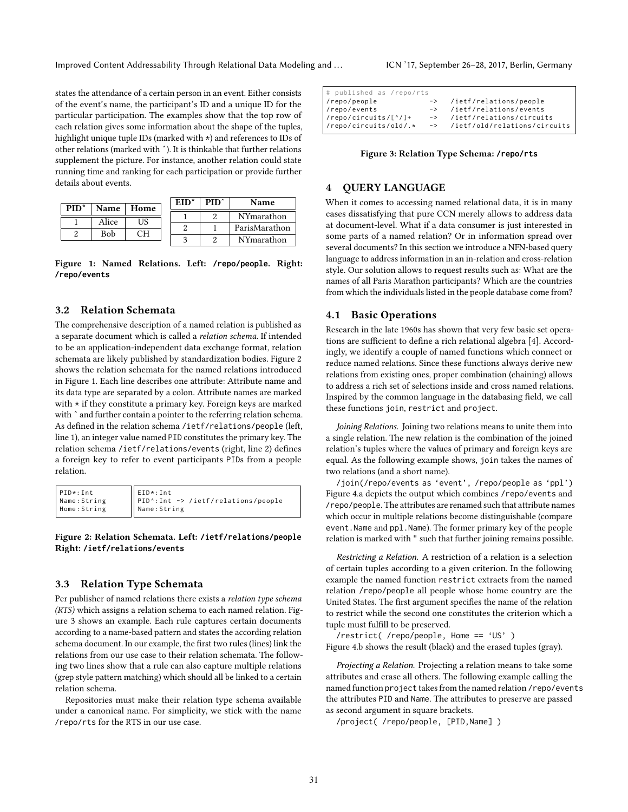Improved Content Addressability Through Relational Data Modeling and ... ICN '17, September 26-28, 2017, Berlin, Germany

states the attendance of a certain person in an event. Either consists of the event's name, the participant's ID and a unique ID for the particular participation. The examples show that the top row of each relation gives some information about the shape of the tuples, highlight unique tuple IDs (marked with  $\star$ ) and references to IDs of other relations (marked with ˆ). It is thinkable that further relations supplement the picture. For instance, another relation could state running time and ranking for each participation or provide further details about events.

<span id="page-2-0"></span>

|      |       |      | $EID^*$ | PID^ | <b>Name</b>   |
|------|-------|------|---------|------|---------------|
| PID* | Name  | Home |         |      |               |
|      | Alice | US   |         |      | NYmarathon    |
|      |       | าн   |         |      | ParisMarathon |
|      | Bob   |      |         |      | NYmarathon    |

Figure 1: Named Relations. Left: **/repo/people**. Right: **/repo/events**

#### 3.2 Relation Schemata

The comprehensive description of a named relation is published as a separate document which is called a relation schema. If intended to be an application-independent data exchange format, relation schemata are likely published by standardization bodies. Figure [2](#page-2-1) shows the relation schemata for the named relations introduced in Figure [1.](#page-2-0) Each line describes one attribute: Attribute name and its data type are separated by a colon. Attribute names are marked with  $*$  if they constitute a primary key. Foreign keys are marked with  $\hat{ }$  and further contain a pointer to the referring relation schema. As defined in the relation schema /ietf/relations/people (left, line 1), an integer value named PID constitutes the primary key. The relation schema /ietf/relations/events (right, line 2) defines a foreign key to refer to event participants PIDs from a people relation.

<span id="page-2-1"></span>PID \*: Int Name : String Home : String EID \*: Int PID ^: Int -> / ietf / relations / people Name : String

Figure 2: Relation Schemata. Left: **/ietf/relations/people** Right: **/ietf/relations/events**

### 3.3 Relation Type Schemata

Per publisher of named relations there exists a relation type schema (RTS) which assigns a relation schema to each named relation. Figure [3](#page-2-2) shows an example. Each rule captures certain documents according to a name-based pattern and states the according relation schema document. In our example, the first two rules (lines) link the relations from our use case to their relation schemata. The following two lines show that a rule can also capture multiple relations (grep style pattern matching) which should all be linked to a certain relation schema.

Repositories must make their relation type schema available under a canonical name. For simplicity, we stick with the name /repo/rts for the RTS in our use case.

<span id="page-2-2"></span>

| # published as /repo/rts                         |                                 |
|--------------------------------------------------|---------------------------------|
| /repo/people                                     | -> /ietf/relations/people       |
| /repo/events                                     | -> /ietf/relations/events       |
| $\frac{1}{2}$ / repo/circuits/[ <sup>^</sup> /]+ | -> /ietf/relations/circuits     |
| //repo/circuits/old/.*                           | -> /ietf/old/relations/circuits |

Figure 3: Relation Type Schema: **/repo/rts**

## 4 QUERY LANGUAGE

When it comes to accessing named relational data, it is in many cases dissatisfying that pure CCN merely allows to address data at document-level. What if a data consumer is just interested in some parts of a named relation? Or in information spread over several documents? In this section we introduce a NFN-based query language to address information in an in-relation and cross-relation style. Our solution allows to request results such as: What are the names of all Paris Marathon participants? Which are the countries from which the individuals listed in the people database come from?

#### 4.1 Basic Operations

Research in the late 1960s has shown that very few basic set opera-tions are sufficient to define a rich relational algebra [\[4\]](#page-6-9). Accordingly, we identify a couple of named functions which connect or reduce named relations. Since these functions always derive new relations from existing ones, proper combination (chaining) allows to address a rich set of selections inside and cross named relations. Inspired by the common language in the databasing field, we call these functions join, restrict and project.

Joining Relations. Joining two relations means to unite them into a single relation. The new relation is the combination of the joined relation's tuples where the values of primary and foreign keys are equal. As the following example shows, join takes the names of two relations (and a short name).

/join(/repo/events as 'event', /repo/people as 'ppl') Figure [4.](#page-3-0)a depicts the output which combines /repo/events and /repo/people. The attributes are renamed such that attribute names which occur in multiple relations become distinguishable (compare event.Name and ppl.Name). The former primary key of the people relation is marked with " such that further joining remains possible.

Restricting a Relation. A restriction of a relation is a selection of certain tuples according to a given criterion. In the following example the named function restrict extracts from the named relation /repo/people all people whose home country are the United States. The first argument specifies the name of the relation to restrict while the second one constitutes the criterion which a tuple must fulfill to be preserved.

/restrict( /repo/people, Home == 'US' ) Figure [4.](#page-3-0)b shows the result (black) and the erased tuples (gray).

Projecting a Relation. Projecting a relation means to take some attributes and erase all others. The following example calling the named function project takes from the named relation /repo/events the attributes PID and Name. The attributes to preserve are passed as second argument in square brackets.

/project( /repo/people, [PID,Name] )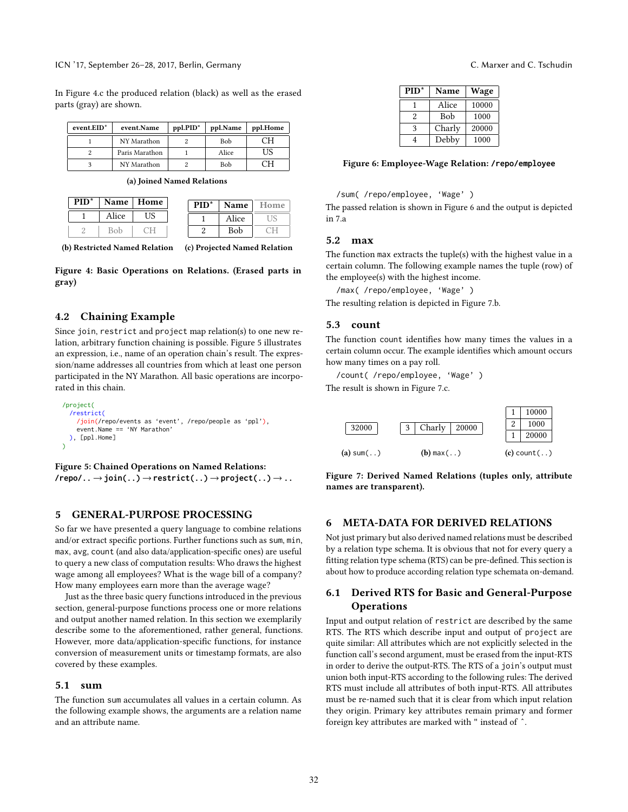ICN '17, September 26–28, 2017, Berlin, Germany C. Marxer and C. Tschudin

In Figure [4.](#page-3-0)c the produced relation (black) as well as the erased parts (gray) are shown.

<span id="page-3-0"></span>

| event.EID* | event.Name     | ppl.PID" | ppl.Name | ppl.Home |
|------------|----------------|----------|----------|----------|
|            | NY Marathon    |          | Bob      |          |
|            | Paris Marathon |          | Alice    | 'IS      |
|            | NY Marathon    |          | Bob      |          |

(a) Joined Named Relations

| PID <sup>*</sup> |       | Name   Home | $PID*$ | Name  | Home |
|------------------|-------|-------------|--------|-------|------|
|                  | Alice | US          |        | Alice |      |
|                  |       |             |        | Bob   |      |

(b) Restricted Named Relation

(c) Projected Named Relation

Figure 4: Basic Operations on Relations. (Erased parts in gray)

#### 4.2 Chaining Example

Since join, restrict and project map relation(s) to one new relation, arbitrary function chaining is possible. Figure [5](#page-3-1) illustrates an expression, i.e., name of an operation chain's result. The expression/name addresses all countries from which at least one person participated in the NY Marathon. All basic operations are incorporated in this chain.

```
/project(
  ..../restrict(
    /join(/repo/events as 'event', /repo/people as 'ppl'),
    event.Name == 'NY Marathon'
  ), [ppl.Home]
..)
```
Figure 5: Chained Operations on Named Relations: **/repo/..**→**join(..)**→**restrict(..)**→**project(..)**→**..**

## 5 GENERAL-PURPOSE PROCESSING

So far we have presented a query language to combine relations and/or extract specific portions. Further functions such as sum, min, max, avg, count (and also data/application-specific ones) are useful to query a new class of computation results: Who draws the highest wage among all employees? What is the wage bill of a company? How many employees earn more than the average wage?

Just as the three basic query functions introduced in the previous section, general-purpose functions process one or more relations and output another named relation. In this section we exemplarily describe some to the aforementioned, rather general, functions. However, more data/application-specific functions, for instance conversion of measurement units or timestamp formats, are also covered by these examples.

#### 5.1 sum

The function sum accumulates all values in a certain column. As the following example shows, the arguments are a relation name and an attribute name.

<span id="page-3-2"></span>

| $PID*$ | <b>Name</b> | Wage  |  |
|--------|-------------|-------|--|
|        | Alice       | 10000 |  |
| 2      | <b>Bob</b>  | 1000  |  |
| ٩      | Charly      | 20000 |  |
|        | Debby       | 1000  |  |

#### Figure 6: Employee-Wage Relation: **/repo/employee**

#### /sum( /repo/employee, 'Wage' )

The passed relation is shown in Figure [6](#page-3-2) and the output is depicted in [7.](#page-3-3)a

#### 5.2 max

The function max extracts the tuple(s) with the highest value in a certain column. The following example names the tuple (row) of the employee(s) with the highest income.

/max( /repo/employee, 'Wage' ) The resulting relation is depicted in Figure [7.](#page-3-3)b.

#### 5.3 count

The function count identifies how many times the values in a certain column occur. The example identifies which amount occurs how many times on a pay roll.

/count( /repo/employee, 'Wage' ) The result is shown in Figure [7.](#page-3-3)c.

<span id="page-3-3"></span>

Figure 7: Derived Named Relations (tuples only, attribute names are transparent).

## 6 META-DATA FOR DERIVED RELATIONS

Not just primary but also derived named relations must be described by a relation type schema. It is obvious that not for every query a fitting relation type schema (RTS) can be pre-defined. This section is about how to produce according relation type schemata on-demand.

## 6.1 Derived RTS for Basic and General-Purpose **Operations**

Input and output relation of restrict are described by the same RTS. The RTS which describe input and output of project are quite similar: All attributes which are not explicitly selected in the function call's second argument, must be erased from the input-RTS in order to derive the output-RTS. The RTS of a join's output must union both input-RTS according to the following rules: The derived RTS must include all attributes of both input-RTS. All attributes must be re-named such that it is clear from which input relation they origin. Primary key attributes remain primary and former foreign key attributes are marked with " instead of ˆ.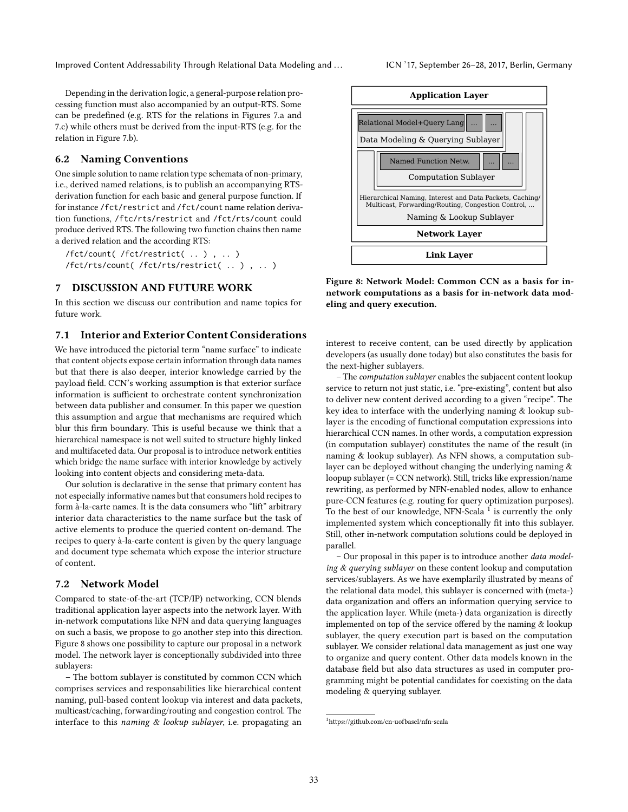Improved Content Addressability Through Relational Data Modeling and ... ICN '17, September 26-28, 2017, Berlin, Germany

Depending in the derivation logic, a general-purpose relation processing function must also accompanied by an output-RTS. Some can be predefined (e.g. RTS for the relations in Figures [7.](#page-3-3)a and [7.](#page-3-3)c) while others must be derived from the input-RTS (e.g. for the relation in Figure [7.](#page-3-3)b).

## 6.2 Naming Conventions

One simple solution to name relation type schemata of non-primary, i.e., derived named relations, is to publish an accompanying RTSderivation function for each basic and general purpose function. If for instance /fct/restrict and /fct/count name relation derivation functions, /ftc/rts/restrict and /fct/rts/count could produce derived RTS. The following two function chains then name a derived relation and the according RTS:

```
/fct/count( /fct/restrict( .. ) , .. )
/fct/rts/count( /fct/rts/restrict( .. ) , .. )
```
## 7 DISCUSSION AND FUTURE WORK

In this section we discuss our contribution and name topics for future work.

## 7.1 Interior and Exterior Content Considerations

We have introduced the pictorial term "name surface" to indicate that content objects expose certain information through data names but that there is also deeper, interior knowledge carried by the payload field. CCN's working assumption is that exterior surface information is sufficient to orchestrate content synchronization between data publisher and consumer. In this paper we question this assumption and argue that mechanisms are required which blur this firm boundary. This is useful because we think that a hierarchical namespace is not well suited to structure highly linked and multifaceted data. Our proposal is to introduce network entities which bridge the name surface with interior knowledge by actively looking into content objects and considering meta-data.

Our solution is declarative in the sense that primary content has not especially informative names but that consumers hold recipes to form à-la-carte names. It is the data consumers who "lift" arbitrary interior data characteristics to the name surface but the task of active elements to produce the queried content on-demand. The recipes to query à-la-carte content is given by the query language and document type schemata which expose the interior structure of content.

#### 7.2 Network Model

Compared to state-of-the-art (TCP/IP) networking, CCN blends traditional application layer aspects into the network layer. With in-network computations like NFN and data querying languages on such a basis, we propose to go another step into this direction. Figure [8](#page-4-0) shows one possibility to capture our proposal in a network model. The network layer is conceptionally subdivided into three sublayers:

– The bottom sublayer is constituted by common CCN which comprises services and responsabilities like hierarchical content naming, pull-based content lookup via interest and data packets, multicast/caching, forwarding/routing and congestion control. The interface to this naming & lookup sublayer, i.e. propagating an

<span id="page-4-0"></span>

Figure 8: Network Model: Common CCN as a basis for innetwork computations as a basis for in-network data modeling and query execution.

interest to receive content, can be used directly by application developers (as usually done today) but also constitutes the basis for the next-higher sublayers.

– The computation sublayer enables the subjacent content lookup service to return not just static, i.e. "pre-existing", content but also to deliver new content derived according to a given "recipe". The key idea to interface with the underlying naming & lookup sublayer is the encoding of functional computation expressions into hierarchical CCN names. In other words, a computation expression (in computation sublayer) constitutes the name of the result (in naming & lookup sublayer). As NFN shows, a computation sublayer can be deployed without changing the underlying naming & loopup sublayer (= CCN network). Still, tricks like expression/name rewriting, as performed by NFN-enabled nodes, allow to enhance pure-CCN features (e.g. routing for query optimization purposes). To the best of our knowledge, NFN-Scala  $^1$  $^1$  is currently the only implemented system which conceptionally fit into this sublayer. Still, other in-network computation solutions could be deployed in parallel.

– Our proposal in this paper is to introduce another data modeling & querying sublayer on these content lookup and computation services/sublayers. As we have exemplarily illustrated by means of the relational data model, this sublayer is concerned with (meta-) data organization and offers an information querying service to the application layer. While (meta-) data organization is directly implemented on top of the service offered by the naming  $&$  lookup sublayer, the query execution part is based on the computation sublayer. We consider relational data management as just one way to organize and query content. Other data models known in the database field but also data structures as used in computer programming might be potential candidates for coexisting on the data modeling & querying sublayer.

<span id="page-4-1"></span><sup>1</sup>https://github.com/cn-uofbasel/nfn-scala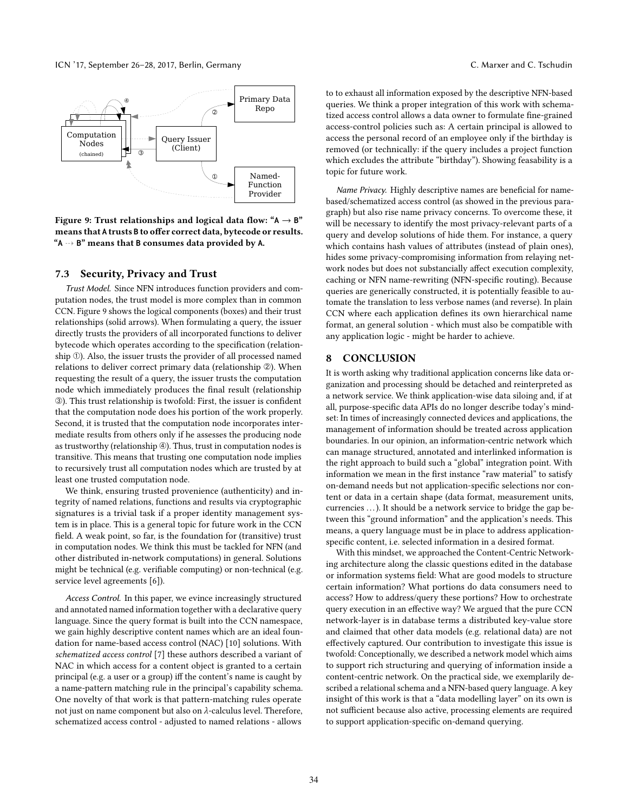<span id="page-5-0"></span>

Figure 9: Trust relationships and logical data flow: " $A \rightarrow B$ " means that A trusts B to offer correct data, bytecode or results. "**A** d **B**" means that **B** consumes data provided by **A**.

#### 7.3 Security, Privacy and Trust

Trust Model. Since NFN introduces function providers and computation nodes, the trust model is more complex than in common CCN. Figure [9](#page-5-0) shows the logical components (boxes) and their trust relationships (solid arrows). When formulating a query, the issuer directly trusts the providers of all incorporated functions to deliver bytecode which operates according to the specification (relationship ①). Also, the issuer trusts the provider of all processed named relations to deliver correct primary data (relationship ②). When requesting the result of a query, the issuer trusts the computation node which immediately produces the final result (relationship ➂). This trust relationship is twofold: First, the issuer is condent that the computation node does his portion of the work properly. Second, it is trusted that the computation node incorporates intermediate results from others only if he assesses the producing node as trustworthy (relationship  $\circledast$ ). Thus, trust in computation nodes is transitive. This means that trusting one computation node implies to recursively trust all computation nodes which are trusted by at least one trusted computation node.

We think, ensuring trusted provenience (authenticity) and integrity of named relations, functions and results via cryptographic signatures is a trivial task if a proper identity management system is in place. This is a general topic for future work in the CCN field. A weak point, so far, is the foundation for (transitive) trust in computation nodes. We think this must be tackled for NFN (and other distributed in-network computations) in general. Solutions might be technical (e.g. verifiable computing) or non-technical (e.g. service level agreements [\[6\]](#page-6-10)).

Access Control. In this paper, we evince increasingly structured and annotated named information together with a declarative query language. Since the query format is built into the CCN namespace, we gain highly descriptive content names which are an ideal foundation for name-based access control (NAC) [\[10\]](#page-6-2) solutions. With schematized access control [\[7\]](#page-6-3) these authors described a variant of NAC in which access for a content object is granted to a certain principal (e.g. a user or a group) iff the content's name is caught by a name-pattern matching rule in the principal's capability schema. One novelty of that work is that pattern-matching rules operate not just on name component but also on λ-calculus level. Therefore, schematized access control - adjusted to named relations - allows

to to exhaust all information exposed by the descriptive NFN-based queries. We think a proper integration of this work with schematized access control allows a data owner to formulate fine-grained access-control policies such as: A certain principal is allowed to access the personal record of an employee only if the birthday is removed (or technically: if the query includes a project function which excludes the attribute "birthday"). Showing feasability is a topic for future work.

Name Privacy. Highly descriptive names are beneficial for namebased/schematized access control (as showed in the previous paragraph) but also rise name privacy concerns. To overcome these, it will be necessary to identify the most privacy-relevant parts of a query and develop solutions of hide them. For instance, a query which contains hash values of attributes (instead of plain ones), hides some privacy-compromising information from relaying network nodes but does not substancially affect execution complexity, caching or NFN name-rewriting (NFN-specific routing). Because queries are generically constructed, it is potentially feasible to automate the translation to less verbose names (and reverse). In plain CCN where each application defines its own hierarchical name format, an general solution - which must also be compatible with any application logic - might be harder to achieve.

## 8 CONCLUSION

It is worth asking why traditional application concerns like data organization and processing should be detached and reinterpreted as a network service. We think application-wise data siloing and, if at all, purpose-specific data APIs do no longer describe today's mindset: In times of increasingly connected devices and applications, the management of information should be treated across application boundaries. In our opinion, an information-centric network which can manage structured, annotated and interlinked information is the right approach to build such a "global" integration point. With information we mean in the first instance "raw material" to satisfy on-demand needs but not application-specific selections nor content or data in a certain shape (data format, measurement units, currencies . . .). It should be a network service to bridge the gap between this "ground information" and the application's needs. This means, a query language must be in place to address applicationspecific content, i.e. selected information in a desired format.

With this mindset, we approached the Content-Centric Networking architecture along the classic questions edited in the database or information systems field: What are good models to structure certain information? What portions do data consumers need to access? How to address/query these portions? How to orchestrate query execution in an effective way? We argued that the pure CCN network-layer is in database terms a distributed key-value store and claimed that other data models (e.g. relational data) are not effectively captured. Our contribution to investigate this issue is twofold: Conceptionally, we described a network model which aims to support rich structuring and querying of information inside a content-centric network. On the practical side, we exemplarily described a relational schema and a NFN-based query language. A key insight of this work is that a "data modelling layer" on its own is not sufficient because also active, processing elements are required to support application-specific on-demand querying.